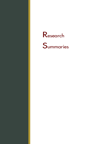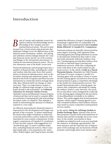## **Introduction**

*ank of Canada staff undertake research designed to improve overall knowledge and understanding of the Canadian and international financial systems. This work is often pursued from a broad system-wide perspective that emphasizes linkages across the different parts of the financial system (institutions, markets, and clearing and settlement systems) linkages between the Canadian financial system and the rest of the economy, and linkages to the international environment, including the international financial system. This section summarizes some of the Bank's recent work.* **B** ank of Canada staff undertake research designed to improve overall knowledge and un-<br>derstanding of the Canadian and inter-<br>hanks. That work is summarized in Are Canadian<br>national financial systems. This work is often<br>

Financial institutions and clearing houses face a number of financial risks, including the credit and market risks that arise from their participation in financial infrastructures, such as the securities clearing and settlement system. Collateral in the form of equities and fixed-income instruments is commonly used to manage these risks. But collateral itself can change in value over time. Thus, it is important to require a pledge of collateral large enough to cover any losses should a risk materialize. In **Collateral Valuation for Extreme Market Events**, Alejandro García and Ramazan Gençay propose a framework that can be used to compare different methods of measuring the risk surrounding the future value of collateral. This analysis is useful in determining the amount of collateral required to cover risks.

An efficient and productive financial system is important for the development and longer-run growth of the economy. To better understand the factors that might contribute to improved economic performance, policy-makers are often interested in cross-country comparisons. In this regard, comparisons of Canada-U.S. productivity have become topical, with suggestions of a "productivity gap" in some Canadian industries, including financial services, where Canadian banks play a very prominent role. Jason Allen, Walter Engert, and Ying Liu have recently

measuring it against that of comparable U.S. banks. That work is summarized in **Are Canadian Banks Efficient? A Canada-U.S. Comparison**.

Payments systems are typically characterized by some degree of tiering, with upstream firms (clearing agents) providing settlement accounts to downstream institutions that wish to clear and settle payments indirectly (indirect clearers). Clearing agents provide their indirect clearers with an essential input (clearing and settlement services), while also competing directly with them in the retail market for payment services. In the article, **Credit in a Tiered Payments System**, Alexandra Lai, Nikil Chande, and Sean O'Connor construct a model of a clearing agent with an indirect clearer to examine the clearing agent's incentives to lever its upstream position to gain a competitive advantage in the market for retail payment services. The model demonstrates that a clearing agent can achieve this competitive advantage by raising the indirect clearer's costs; however, the incentive to raise these costs is mitigated by credit risk to the clearing agent arising from the provision of uncollateralized overdrafts to its indirect clearer. The results suggest that tiered payments systems, which require clearing agents to provide overdraft facilities to their indirect clearers, may result in a more competitive retail payment services market.

In the article, **Using No-Arbitrage Models to Predict Exchange Rates**, Antonio Diez de los Rios proposes a model of the joint behaviour of interest rates and the exchange rate in two countries. In the model, movements in these variables are related in such a way as to preclude the existence of arbitrage opportunities. The term structure and the expected rate of depreciation of the exchange rate are functions of both domestic and foreign short-term interest rates.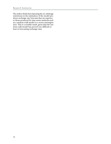The author finds that imposing the no-arbitrage restrictions in the estimation of the model produces exchange rate forecasts that are superior to those produced by time-series methods such as a random-walk model or a vector autoregression. This is a notable result, given that the random-walk model has proved very difficult to beat in forecasting exchange rates.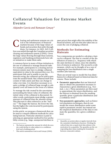# **Collateral Valuation for Extreme Market Events**

*Alejandro García and Ramazan Gençay\**

learing and settlement systems are critical to the infrastructure of financial markets because of the large values of funds and securities that settle through them. For instance, in 2005, \$49.9 trillion was settled through the Canadian securities clearing and settlement system (CDSX). Given the large values flowing through these systems, regulators and banking professionals have taken initiatives to make them safer. I aring and settlement systems are criterial asset prices) that might affect the stability of the incident in calculate the stability of the financial system, and one that also takes into accurate the stability of the larg

A common factor in many of these initiatives is the use of collateral to manage financial risks. For example, participants in a clearing and settlement system may have to pledge collateral equivalent in value to the amount they owe. If a participant fails and is unable to pay the amount owing, the collateral can be sold to generate the needed funds. But collateral itself may consist of risky assets and thus can change in value over time. It is therefore necessary to require a pledge of collateral large enough to adequately cover all losses in the event of a failure.

To manage the risk created by the uncertainty surrounding the future value of collateral, the initial value of the collateral is discounted. In other words, participants must pledge a greater amount of collateral than the amount owing. This discount is often referred to as the "haircut."<sup>1</sup> The larger the haircut, the lower the risk, but the higher the costs incurred by participants using the system.

In this article, we propose a framework that can be used to compare different methods for calculating haircuts. Particular attention is paid to selecting an appropriate method for low-probability events (e.g., large, unexpected declines in

financial system, and one that also takes into account the cost of pledging collateral.

#### **Methods for Estimating Haircuts**

Two components are needed to calculate a haircut for collateral. The first is a model of the distribution of losses (i.e., frequency with which the asset declines in value), since the distribution of returns is unknown. The second is a risk measure, which can be thought of as a way of mapping the loss distribution into a single number (the haircut).

There are several ways to model the loss distribution for collateral based on historical data for returns. These include:

- **Parametric approaches** that use historical data to obtain the parameters necessary to characterize a given distribution (e.g., Normal, *t*, etc.). These parameters are then used to approximate the return distribution, and the haircut is obtained from the resulting quantile, given a particular distribution and a confidence level.2
- **Non-parametric approaches**, such as historical-simulation techniques, that do not model the return distribution under some explicit parametric model, but instead use the empirical distribution of the data to estimate the quantiles, for a given confidence level.

<sup>1.</sup> The haircut represents the amount by which the security could decline in value subject to a confidence level and a holding period.

This article summarizes García and Gençay (2006).

<sup>2.</sup> Quantiles are points taken at regular intervals from the cumulative distribution function. Dividing the ordered data into *q* equal-sized data subsets is the motivation for *q*-quantiles. The quantiles are the corresponding data values marking the boundaries between consecutive subsets.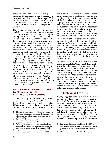Along with choosing one of the above approaches, the estimation of haircuts requires a means of quantifying risk: a risk measure. Various risk measures can be used. One of the most common is the Value at Risk (VaR). We also use an alternative risk measure called Expected Shortfall  $(ES).<sup>3</sup>$ 

The method for calculating a haircut can most easily be explained with an example. Consider an exposure of \$100 in a system for clearing and settling securities. This exposure is collateralized by an asset that has a market price of \$100. To estimate the haircut for such an asset, we use a parametric approach (e.g., a normal return distribution) and select a risk measure (e.g., VaR). Knowing that the asset has a daily percentange change in price with a mean of zero and a standard deviation of 3 per cent, we estimate the corresponding normal distribution. Next, we choose a confidence level for the haircut (e.g., 0.5 per cent) $4$  and then select a holding period (e.g., 1 day). Finally, we calculate the corresponding VaR obtained from a normal distribution with the mean and standard deviation of the data and assign this value as the haircut.<sup>5</sup> This parametric approach, combined with VaR, yields a haircut of 7.72 per cent (quantile of the distribution), which is associated with a tail risk of 0.5 per cent (confidence level). With this haircut, the amount of collateral required to cover the exposure of \$100, given the characteristics of the asset pledged, would be \$108.36 which is  $(100/[1-haircut])$ .

#### **Using Extreme Value Theory to Characterize the Distribution of Returns**

A number of empirical observations generally hold for a wide range of financial time series.<sup>6</sup> One of these is that return series have fat tails. This means that compared with a normal distribution, there are fewer observations around the

mean, and more in the tails or extremes of the distribution. This is true for many equities and certain fixed-income instruments that may be pledged as collateral. For such assets, it is not appropriate to use a normal distribution to estimate the distribution of market returns. This is because the normal distribution cannot capture values at very low or high tails of the distribution. Extreme value theory (EVT) methods are more appropriate for modelling the tail behaviour of the distribution of returns for securities.<sup>7</sup>

The intuition of EVT is as follows. While the normal distribution is the important limiting distribution for sample averages (central limit theorem), *the family of extreme value distributions is used as the limiting distribution of the sample extremes*. Thus, it is more relevant when we are interested in the extremes of the distribution. This family can be presented under a single parametrization known as the generalized extreme value distribution.<sup>8</sup>

The power of EVT methods to capture extreme events is illustrated in Gençay and Selçuk (2006), where the authors use data for Turkey's overnight interest rate prior to the crisis when the rate reached a level of 873 per cent on 1 December 2000 and 4,000 per cent on 21 February 2001. The authors find that estimation results from the pre-crisis data indicate that a day with overnight interest rates over 1,000 per cent (simple annual) could be expected every 4 years. In other words, the extraordinary levels observed during the crisis were in the nature of the economy before they actually materialized.

### **The Risk-Cost Frontier**

Having suggested some alternative methods for estimating collateral haircuts, we now need a framework for comparing the methods. We propose the "risk-cost frontier" as such a framework. The frontier is a way of summarizing the risk-cost trade-off implied by each method. Each method has its own trade-off between the risk that price fluctuations in collateral value are not covered by a haircut (tail risk), and the cost of pledging collateral, measured by the excess collateral above the exposure that corresponds

<sup>3.</sup> ES is a *coherent* alternative to VaR, where *coherence* is defined as axioms that capture the desired properties of a risk measure. This term is from Artzner et al. (1997, 1999).

<sup>4.</sup> This means that 1 day out of 200, the haircut would not be sufficient to cover the daily price fluctuations.

<sup>5.</sup> VaR is simply a quantile of the loss distribution of returns. This quantile represents the maximum loss that is not exceeded with a given high probability.

<sup>6.</sup> A good reference of the stylized facts for financial time series can be found in Mandelbrot (1963).

<sup>7.</sup> Embrechts, Klüppelberg, and Mikosch (1997) is a comprehensive source of theory and applications of extreme value theory to the finance and insurance literature.

<sup>8.</sup> This result is known as the Fisher-Tippett theorem.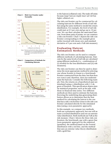



to the haircut (collateral cost). The trade-off exists because *larger haircuts* imply *lower tail risk* but *higher collateral cost*.

The risk-cost frontier can be constructed by calculating haircuts for different levels of tail risk but using the same method to model the return distribution. For example, the level of tail risk could start at 0.5 per cent and go up to 10 per cent. We can then calculate the associated haircuts. From these pairs of points, we can construct a risk-cost frontier. Chart 1 depicts the risk-cost frontier corresponding to the example given earlier (normal with mean zero and standard deviation of 3 per cent and a VaR risk measure).

#### **Evaluating Haircut Estimation Methods**

The risk-cost frontier can be used to compare different methods of calculating haircuts. Haircuts for the same levels of tail risk are calculated using different methods (i.e., combinations of (i) models for the loss distribution and (ii) risk measures).

The risk-cost frontier can then be used to determine the most appropriate method by selecting one whose frontier is closest to a benchmark frontier constructed from the data, but that does not cross it and, therefore, does not underestimate the haircuts. Consider the following example. First, the returns on a hypothetical asset are simulated using a *t*-distribution with 2.2 degrees of freedom. This specification shares similar statistical properties, such as fat tails, with those in financial time series. Two different methods are then used to estimate the haircuts. Knowing the underlying data-generating distribution allows us to determine that the best method for calculating the haircut is the one that has a risk-cost frontier closer to the risk-cost frontier calculated directly for the simulated data (using a non-parametric approach).

In this example, we compare two methods: both use a parametric approach, but one will assume a normal distribution and one an extreme value distribution. Both methods use VaR as the risk measure. Chart 2 shows the three risk-cost frontiers: the benchmark case with a green line (non-parametric approach for the empirical quantiles), the method based on the normal distribution with a red line, and the method that uses an extreme value theory distribution with a gold line.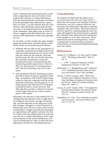Chart 2 illustrates the mismeasurement of risk when comparing the risk-cost frontier of the method that assumes a normal distribution, with the benchmark risk-cost frontier calculated from the simulated data (denoted by a green line). In Chart 2, we also observe that use of an extreme value distribution gives haircuts that are closer to benchmark given by the quantiles of the simulated *t* data (green line in Chart 2). Chart 2 suggests that the method that uses an extreme value distribution is the more appropriate one.

In our study, we also conduct the same analysis using real market data and find similar results. These results can be summarized as follows:

- Methods that use VaR on the assumption of normality overestimate (at high levels of tail risk) and underestimate (at low levels of tail risk) the values for the haircuts. This happens because the risk-cost frontier that uses the normality assumption crosses the benchmark frontier constructed from the empirical quantiles (green line in Chart 2). Thus, for the purpose of covering extreme risk, VaR with normality may not be adequate.
- VaR calculated with EVT methods provides a good fit in terms of slope to quantiles of the data. Nevertheless, VaR with EVT gives larger values for haircuts compared with the actual quantiles of the data. For the purpose of covering extreme risk, VaR with EVT is adequate. It should be kept in mind, however, that although they provide a cushion for extreme events, larger haircuts are costly to participants of the system.

Ultimately, the selection of the method for calculating haircuts depends on the weight placed on collateral costs versus coverage of extreme risk, and this depends on the objectives of the risk manager. Managers in critical financial infrastructures may choose to select a haircut that corresponds to a higher quantile than managers in organizations with greater tolerance for risk. No matter what the weights placed on risk and cost may be, a careful examination of the statistical properties of the return distribution is always recommended in order to select the most appropriate method for calculating haircuts.

#### **Conclusions**

We propose a framework that allows us to (i) characterize the risk-cost trade-off for a particular risk measure and method of haircut estimation, and (ii) compare different risk measures from alternative estimation methods, using the risk-cost frontier. The framework proposed is useful for understanding the risk-cost trade-off implied by the method used to calculate the collateral value (haircuts) that institutions must pledge to cover their exposures. These institutions may be clearing houses, central counterparties, payment system operators, central banks, or commercial banks determining their risk capital.

- Artzner, P., F. Delbaen, J.-M. Eber, and D. Heath. 1997. "Thinking Coherently." *Risk* 10: 68–71.
	- ———. 1999. "Coherent Measures of Risk." *Mathematical Finance* 9: 203–28.
- Embrechts, P., C. Klüppelberg, and T. Mikosch. 1997. *Modelling Extremal Events for Insurance and Finance*. New York: Springer.
- García, A. and R. Gençay. 2006. "Risk-Cost Frontier and Collateral Valuation in Securities Settlement Systems for Extreme Market Events." Bank of Canada Working Paper No. 2006-17.
- Gençay, R. and F. Selçuk. 2006. "Overnight Borrowing, Interest Rates and Extreme Value Theory." *European Economic Review* 50: 547–63.
- Mandelbrot, B. 1963. "New Methods in Statistical Economics." *Journal of Political Economy* 71: 421–40.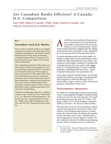# **Are Canadian Banks Efficient? A Canada-U.S. Comparison**

*Jason Allen (Bank of Canada), Walter Engert (Bank of Canada), and Ying Liu (Université de la Méditerranée)*

# Box 1<br>Canadian and U.S. Banks<br>The Line of Watch Line of the Color **Canadian and U.S. Banks**

The six major Canadian banks in our sample comprise over 90 per cent of the assets of the Canadian banking sector. The banks are Royal Bank Financial Group, Bank of Montreal, Canadian Imperial Bank of Commerce, TD Bank Financial Group, Bank of Nova Scotia, and National Bank.

The comparisons reported in this article consider total U.S. banks and a sample of 12 U.S. bank holding companies (BHCs). The BHCs are selected from the top 20 U.S. banks in terms of assets as of 31 December 2004. They were selected because there are continuous data from 1986 to 2004, and because most of these banks have a business mix broadly similar to that of the Canadian banks, benchmarked in a specific manner. That is, most of these BHCs make a similar proportion of revenue from retail banking.

The BHCs are JPMorgan Chase & Co., Bank of America Corp., Wachovia Corp., Wells Fargo & Co., U.S. Bancorp, SunTrust Banks Inc., National City Corp., Citizens Financial Group Inc., BB&T Corp., Fifth Third Bancorp, Keycorp, and The PNC Financial Services Group Inc.

n efficient and productive financial system is important for the development and longer-run growth of the economy. Indeed, a recent comprehensive survey of the research literature suggests that the quality of financial service provision is a key ingredient for economic growth (Dolar and Meh 2002).

To better understand the factors that might contribute to improved economic performance, policymakers are often interested in cross-country comparisons. In this regard, Canada-U.S. productivity comparisons have become topical, with suggestions of a "productivity gap" in some Canadian industries, including financial services—where Canadian banks play a very prominent role.

Given these various considerations, we recently studied the efficiency of major Canadian banks, and compared it with the efficiency of U.S. banks (Allen, Engert, and Liu 2006). This article presents a summary of that work.

#### **Performance Measures**

We begin by considering common performance ratios, comparing the six largest Canadian banks (which account for the vast majority of Canadian banking assets) with total U.S. banks, and with a subset of U.S. bank holding companies (BHCs). (See Box 1 for more on these banks.)

The data that we use are from the balance sheets and income statements reported by these institutions to the banking supervisors in Canada and in the United States. We deflate all variables by the consumer price index, excluding food and energy prices, in the respective country. We also adjust the data for the different purchasing powers of the Canadian and U.S. currencies.<sup>1</sup>

<sup>1.</sup> We use the Rao, Tang, and Wang (2004) calculation of a PPP measure for value-added in financial services (1.09 in 1999).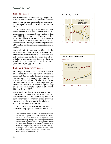#### **Expense ratio**

The expense ratio is often used by analysts to evaluate bank performance. It is defined as the ratio of non-interest expense to net operating revenue (net interest income plus non-interest income). $\alpha$ 

Chart 1 presents the expense ratio for Canadian banks, the U.S. BHCs, and total U.S. banks. The expense ratio of Canadian banks was lower than that of U.S. banks in the late 1980s and early 1990s. But this measure has been trending up at the Canadian banks and down at the U.S. banks over the sample period, so that the expense ratio of Canadian banks currently exceeds that of U.S. banks.

Our analysis indicates that the difference in the expense ratios can be currently attributed to a higher labour cost component (wages and benefits) at Canadian banks. However, this differential does not imply disparities in productivity, which concerns how much output is produced per unit of input (typically, labour).

#### **Labour productivity ratio**

Accordingly, we also consider measures that focus on the output produced by banks, relative to labour input. Bank output is difficult to measure, on both conceptual and pragmatic grounds. Indeed, it is widely believed that official statistics (based on the system of national accounts) on output in financial-services industries are subject to large errors. (See, for example, Triplett and Bosworth 2004 or Diewert 2005.)

In our study, we do not use national accounts data. As noted above, we draw on data from balance sheets and income statements provided to bank supervisors. To measure productivity, we begin with total assets reported on balance sheets as our measure of output.

Chart 2 compares total assets per full-time equivalent employee of Canadian banks, the





<sup>2.</sup> The denominator of this ratio—particularly net interest income—depends on the risk differential between assets and liabilities. Therefore, a change in the ratio can be caused by changes in risk taking and not necessarily by changed efficiency. A change in the mix of a bank's services or products (say, towards non-traditional banking services) can also affect this ratio by altering the mix of inputs and expenses. Thus, we prefer the term "expense ratio," and not "efficiency ratio," as it is sometimes called.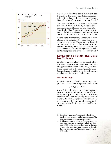

U.S. BHCs, and total U.S. banks, in constant 1999 U.S. dollars. This chart suggests that the productivity of Canadian banks has been considerably higher than that of U.S. banks in the past decade.<sup>3</sup>

Next, we consider a measure that effectively internalizes differences in asset generation and management, and focuses on overall results. Specifically, Chart 3 shows net operating revenue per full-time equivalent employee of Canadian banks, the U.S. BHCs, and total U.S. banks.

According to this measure, Canadian bank employees were less productive than their U.S. counterparts in the late 1980s, but started to catch up in the early 1990s. In fact, according to this measure, the three groups of banks have converged since the late 1990s, indicating that Canadian banks are as productive as their  $\tilde{U}$ .S. counterparts.<sup>4</sup>

#### **Economies of Scale and Cost-Inefficiency**

We also consider another means of gauging bank efficiency, based on econometric methods, using disaggregated bank data. In this case, our analytical framework is the translog cost function (as in Allen and Liu 2005), which has become a standard tool in the research literature.

#### **Methodology**

In this framework, a bank's cost-minimization problem can be written as a general cost function:

$$
C = f(q, w) + \theta + \xi,
$$

where C is bank costs;  $q$  is a vector of bank outputs; **w** is a vector of input prices that a bank faces; and  $f(\mathbf{q}, \mathbf{w})$  is a translog function, consisting of the individual and cross-product terms of  $\bf{q}$  and  $\bf{w}$ . The term  $\theta$  represents effects unique to each bank, and the error term ξ represents all other unexplained influences on a bank's cost structure.

<sup>3.</sup> Including a measure of non-traditional activities (such as those related to off-balance-sheet assets) in total assets does not change this conclusion.

<sup>4.</sup> It follows from these various performance ratios that the return on assets of Canadian banks is less than that of U.S. banks, which is what we see in the data. On the other hand, the return on equity of Canadian banks is comparable to (if not greater than) that of U.S. banks.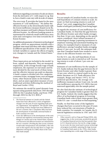Inferences regarding economies of scale are drawn from the derivative of C with respect to  $q$ ; that is, how a bank's costs vary with its scale of output.

The error term  $\xi$  provides the basis for the measurement of "cost-inefficiency." We define the efficient frontier as the (benchmark) bank with the lowest inefficiency measure (based on its  $\xi$ ), and then measure each bank's distance from that efficient frontier. An efficient banking system is represented by relatively small inefficiency measures and convergence over time towards the efficient frontier.

An additional parameter of interest is technological progress, which we approximate initially with a quadratic time trend and then with other variables in different specifications of the model. We also include variables to capture the effects of regulatory changes in Canada and the United States.<sup>5</sup>

#### **Data**

Three input prices are included in the model: labour, capital, and deposits. They are measured, respectively, as the average hourly wage of bank employees, the expenses on real estate and fixtures divided by the total stock of these items, and the effective interest rate paid on deposits. A bank's output is divided into five categories: consumer loans, mortgage loans, non-mortgage loans, other financial assets on the balance sheet, and an asset-equivalent measure of nontraditional activities (following the method of Boyd and Gertler 1994).

We estimate the model by panel dynamic least squares using quarterly data from 1983 through 2004 for the Canadian banks, and from 1986 through 2004 for the U.S. BHCs. $^6$ 

#### **Results**

For our sample of Canadian banks, we reject the null hypothesis of constant returns to scale. Instead, we find increasing returns to scale (of about 7 per cent), suggesting that Canadian banks would gain (modestly) from being larger.

As regards the measure of cost-inefficiency for Canadian banks, we find that the gap between the efficient frontier and other banks averages less than 10 per cent, depending on the specification considered. More refined measures of technological change (capturing investment in employee training and automated banking machines, for example) lead to measures of costinefficiency among Canadian banks averaging about 6.5 per cent. As well, the estimates indicate that Canadian banks have tended to move closer to the efficient frontier over time.

For the U.S. case, the null hypothesis of constant returns to scale is rejected as well. Increasing returns to scale of about 2 per cent are estimated.

Estimates of cost-inefficiency for the sample of U.S. banks indicate that the gap between the efficient frontier and other banks is greater than 10 per cent, which is a typical result in the academic literature on U.S. bank efficiency (for example, Berger and Mester 1997). In our preferred specification, the average costinefficiency measure is about 14 per cent. As well, cost-inefficiency among the U.S. BHCs has not narrowed appreciably over the sample period.

We also find that the estimate of technological progress for Canadian banks is greater than for U.S. banks. Indeed, the results suggest that the effect of technological progress in lowering Canadian bank costs is three times greater than in the U.S. case—a result that we find surprising.<sup>7</sup>

Finally, we find that some of the legislative changes that have occurred in the past 20 years have reduced the cost structures of banks in both countries. For example, in Canada, the financial legislation revisions in 1987 and 1997

<sup>5.</sup> The financial systems in Canada and the United States have been affected by a series of legislative changes over the past 20 years regarding bank powers, organization, and regulation. The specific nature and timing of these changes have been different in the two countries. But a cumulative effect has been the development of essentially universal banks in both countries over time.

<sup>6.</sup> Given the differences in the development of the institutional and regulatory environments (among other things) in Canada and in the United States, separate cost functions and efficient frontiers are estimated for the two countries. (Pooling the data across countries would make interpretation of ξ unreliable.) Also relevant in this regard is the fact that there is a larger size dispersion among the U.S. BHCs than in the Canadian bank sample.

<sup>7.</sup> Other research, such as Tang and Wang (2004), also suggests that, in the recent past, productivity growth in Canadian financial services has been greater than in U.S. financial services, but not by a large margin. In our work, the time trend used to proxy technological progress is probably capturing the large increase in Canadian bank assets in the 1990s, when banks were expanding into a wide range of financial services.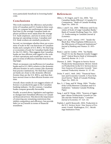were particularly beneficial in lowering banks' costs.

### **Conclusions**

This work examines the efficiency and productivity of Canadian and U.S. banks in three ways. First, we compare key performance ratios and find that (i) the average Canadian bank employee produces more assets than the average U.S. bank employee, and (ii) in terms of producing net operating revenue, Canadian and U.S. bank workers are similarly productive.

Second, we investigate whether there are economies of scale in the cost functions of Canadian banks and a sample of U.S. BHCs. We find larger economies of scale for Canadian banks than for the U.S. BHCs. This suggests that Canadian banks are less efficient with regard to the scale of their operations and would have more to gain in terms of efficiency benefits from becoming larger.

Third, we measure cost-inefficiency in Canadian banks and in U.S. BHCs relative to the domestic efficient frontier in each country (the domestic best-practice institution). We find that Canadian banks are closer to the domestic efficient frontier than are the U.S. BHCs, and that they have moved closer to that efficient frontier over time.

Overall, these results do not suggest relative efficiency or productivity gaps in the Canadian banking industry. On the contrary, Canadian banks compare generally favourably.

Finally, as noted above, legislative and regulatory changes have benefited efficiency in Canadian financial services. This shows the importance of removing any remaining restrictions that inhibit competition and efficiency, but provide little (or no) benefit in terms of financial soundness.

- Allen, J., W. Engert, and Y. Liu. 2006. "Are Canadian Banks Efficient? A Canada-U.S. Comparison." Bank of Canada Working Paper No. 2006-33.
- Allen, J. and Y. Liu. 2005. "Efficiency and Economies of Scale of Large Canadian Banks." Bank of Canada Working Paper No. 2005- 13. Forthcoming in *Canadian Journal of Economics*.
- Berger, A.N. and L. Mester. 1997. "Inside the Black Box: What Explains Differences in the Efficiencies of Financial Institutions?" *Journal of Banking and Finance* 21: 895– 947.
- Boyd, J. and M. Gertler. 1994. "Are Banks Dead? Or Are the Reports Greatly Exaggerated?" *Federal Reserve Bank of Minneapolis Quarterly Review* 18: 2–23.
- Diewert, E. 2005. "Progress in Service Sector Productivity Measurement: Review Article on Productivity in the U.S. Services Sector: New Sources of Economic Growth." *International Productivity Monitor* 11: 57–69.
- Dolar, V. and C. Meh. 2002. "Financial Structure and Economic Growth: A Non-Technical Survey." Bank of Canada Working Paper No. 2002-24.
- Rao, S., J. Tang, and W. Wang. 2004. "Productivity Levels Between Canadian and U.S. Industries." Industry Canada Working Paper.
- Tang, J. and W. Wang. 2004. "Sources of Aggregate Labour Productivity Growth in Canada and the United States." *Canadian Journal of Economics* 37: 421–44.
- Triplett, J. and B. Bosworth. 2004. *Productivity in the U.S. Services Sector: New Sources of Economic Growth*. Washington, D.C.: Brookings Institution Press.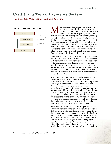# **Credit in a Tiered Payments System**

*Alexandra Lai, Nikil Chande, and Sean O'Connor\**



ost payment, clearing, and settlement systems are characterized by some degree of tiering. In a tiered system, some of the financial institutions participating directly in a first-tier network for clearing and settlement (clearing agents) operate a second-tier network that provides similar services to other institutions (indirect clearers). Clearing agents not only provide wholesale clearing and settlement services to the indirect clearers participating in their second-tier networks, but also compete against these same indirect clearers in the provision of retail payment services to individuals and businesses. This arrangement is illustrated in Figure 1.

Survey evidence in Canada (Tripartite Study Group 2006) indicates that because of the high fixed costs associated with operating in the first-tier network, indirect clearers prefer to participate in a clearing agent's lower-cost, second-tier network. Clearing agents choose to operate second-tier networks to obtain scale economies and additional fee revenue. There are, however, some questions about the efficiency of pricing in service markets in tiered networks.

In a tiered payments system, a clearing agent has the ability, and may have the incentive, to raise the marginal cost for an indirect clearer in order to gain a competitive advantage in the market for retail payment services. Because of data-processing lags and distribution problems in the flow of settlement funds, the process of settling payments combines settlement services with credit services to network participants. For example, clearing agents provide overdraft credit to indirect clearers. We investigate the impact of uncollateralized overdrafts provided by a clearing agent in a second-tier system on the pricing strategy for its payment services, and on equilibria in the wholesale and retail markets.

If we abstract from inter-network competition to focus on within-network competition, the analysis indicates that the incentive for the clearing agent to raise the indirect clearer's costs is mitigated by the credit risk from the uncollateralized overdrafts that the clearing agent provides to its indirect clearer. In fact, in the model, the wholesale service fee charged by the clearing agent is always lower when credit risk is a meaningful consideration. The results also indicate that a clearing agent would then alter the price of its retail services to allow

This article summarizes Lai, Chande, and O'Connor (2006).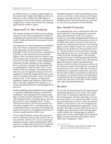its indirect clearer to acquire a greater share of the retail service market and higher profits. Furthermore, with a sufficiently high degree of competition in the retail market, customers are charged lower service fees by both the clearing agent and the indirect clearer.

### **Approach to the Analysis**

The analytical approach builds on the existing research on the vertical integration of firms in wholesale and retail markets and on settlement credit. It links and extends these separate bodies of literature.

The literature on vertical integration establishes that where there is imperfect competition in both upstream and downstream markets (Spengler 1950), and even where competition is perfect in the downstream retail market (Salop 1998), incentives exist for a firm to vertically integrate the production of complementary services in both markets. Vertical integration eliminates double markups in the integrated firm's retail price and gives the integrated firm an opportunity to raise its rival's costs. Economides (1998), for example, demonstrates that when the price of upstream (input) services is regulated, a vertically integrated firm has an incentive to impose non-price costs on its downstream rivals. In the absence of input-price regulation, Bustos and Galetovic (2003) show that a vertically integrated firm prefers to increase a downstream rival's costs through the input price.

Similar modelling approaches have been applied to securities settlement systems. In particular, Holthausen and Tapking (2004) demonstrate that a central securities depository (CSD), vertically integrated with a custodian bank, will raise the costs of a rival custodian bank. Rochet (2005) shows that a CSD has an incentive to vertically integrate with a custodian bank and would either refuse to provide a rival bank with settlement services or, if regulation prevents exclusion, would raise the rival's costs.

None of this literature models the joint provision of settlement services and credit by the service provider, which is the case in a payments settlement system. Kahn and Roberds (1998) construct a single-network model for banks facing uncertain payment inflows and outflows

through the period, with final settlement at the end on a net basis. In this system, network participants exchange intraday credit bilaterally or multilaterally to settle payments but, in doing so, also face the prospect of credit default.

### **Key Model Features**

By combining the survey information with relevant studies on vertical integration, tiered systems, and settlement credit, we construct a model of a vertically integrated bank (the clearing agent) that competes downstream with a rival bank (the indirect clearer) in the end-user market for retail payment services. The clearing agent and the indirect clearer are Cournot competitors in the market for retail payment servic $es<sub>i</sub><sup>1</sup>$  but the indirect clearer purchases clearing and settlement services, and acquires overdraft credit, from the clearing agent. The clearing agent first chooses a clearing and settlement fee to charge the indirect clearer. Then, the clearing agent and indirect clearer simultaneously choose a desired volume of payment services in the end-user market and charge the corresponding retail service fee. Since each unit of service is measured by a payment transaction, and since the net value of these transactions is allowed to be random, net payment flows and settlement overdrafts from the clearing agent to the indirect clearer are uncertain at the time of their wholesale and retail pricing decisions.

### **Results**

The results are derived from both analytical and numerical solutions to the model. The model shows that, to maximize expected net worth, the clearing agent will take advantage of its upstream position as an essential provider of clearing and settlement services to raise the indirect clearer's costs relative to its own marginal cost of clearing and settling these payments. Consequently, the indirect clearer offers its services at a higher price than those of the clearing agent, which enables the clearing agent to attract a greater share of the retail market and a relatively higher overall profit than the indirect clearer. This is the "integration" effect.

<sup>1.</sup> Cournot competitors select optimal strategies that take account of the rival's market reaction.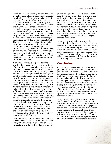Credit risk to the clearing agent from the provision of overdrafts to its indirect clearer mitigates the clearing agent's incentive to raise the indirect clearer's costs. A default by the indirect clearer on its overdraft credit, resulting from insufficient profits and available assets, will lower the clearing agent's expected net worth. In selecting its pricing strategy, a forward-looking clearing agent will therefore take account of the prospect of overdraft credit to the indirect clearer, the probability of credit default by the indirect clearer, and the possible impact of higher pricing on the indirect clearer's default probability. The clearing agent must balance its potential gains in net worth from vertical integration against the potential losses it might incur by indirectly increasing its credit risk through its own pricing strategy. Therefore, recognizing that a decrease in the indirect clearer's profits implies that the indirect clearer is more likely to default, the clearing agent lowers its service fee. This is the "credit-risk" effect.

Numerical techniques help to determine whether the integration effect or the credit-risk effect dominates under different market conditions. For a broad range of parameter values, the credit-risk effect dominates. Specifically, when credit risk is meaningful to the clearing agent, it selects a wholesale service fee that is lower than the risk-free price. This allows the indirect clearer to acquire market share and earn higher expected profits, which lowers the probability of default on any overdraft credit that it may incur. There is, however, a level of retail competition below which the indirect clearer's profits are sufficiently high (with greater market power) that it can easily repay the settlement overdrafts provided by the clearing agent. Below this critical level of retail competition, credit risk is no longer a meaningful concern to the clearing agent, which allows the agent to charge a higher wholesale service fee. But the range of parameter values for which the integration effect dominates the credit-risk effect is very small. The presence of credit risk generally results in the clearing agent lowering its wholesale service fee relative to the risk-free case.

In addition to lowering its wholesale service fee when faced with sufficient credit risk, the clearing agent also selects a retail service price that lowers its own volume of retail payments. This

pricing strategy allows the indirect clearer to raise the volume of its retail payments. Despite the loss of retail market share and a lower wholesale service fee, the clearing agent earns higher expected profits from combining clearing and settlement services with overdraft credit. The indirect clearer also earns higher profits, except where the degree of competition between the indirect clearer and the clearing agent is so low that the credit risk imposed on the clearing agent is insufficient to encourage the agent to lower its fee.

While the price of retail payment services charged by the indirect clearer is always lower in the presence of sufficient credit risk, the clearing agent's price is lower only when there is a high degree of competition between the two. In other words, significant competition is required for credit risk to lower the clearing agent's fee for retail payment services and, thus, make consumers unambiguously better off.

#### **Conclusion**

In a tiered payments system, a clearing agent provides its indirect clearer with an essential input (clearing and settlement services), but may also compete against the indirect clearer in the retail market for payment services. In the stylized model developed for this analysis, the clearing agent could take advantage of its position as operator of the second-tier network by strategically pricing its wholesale clearing fee so as to raise its rival's costs. But when the credit effect dominates, the clearing agent's incentive to raise the indirect clearer's costs is mitigated by the provision of overdraft settlement loans to the indirect clearer.

When clearing agents provide uncollateralized overdraft credit to indirect clearers and credit risk is significant, wholesale service fees are generally lower and the market for retail payment services can be more competitive. Furthermore, when there is a high degree of competition between clearing agents and indirect clearers, a tiered arrangement with credit is welfaresuperior, from a consumer-price perspective, to one without credit and meaningful credit risk.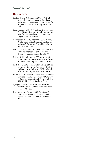- Bustos, A. and A. Galetovic. 2003. "Vertical Integration and Sabotage in Regulated Industries." University of Chile Centre for Applied Economics Working Paper No. 164.
- Economides, N. 1998. "The Incentive for Non-Price Discrimination by an Input Monopolist." *International Journal of Industrial Organization* 16: 271–84.
- Holthausen, C. and J. Tapking. 2004. "Raising Rival's Costs in the Securities Settlement Industry." European Central Bank Working Paper No. 376.
- Kahn, C. and W. Roberds. 1998. "Payment System Settlement and Bank Incentives." *Review of Financial Studies* 11: 845–70.
- Lai, A., N. Chande, and S. O'Connor. 2006. "Credit in a Tiered Payments System." Bank of Canada Working Paper No. 2006-36.
- Rochet, J.-C. 2005. "The Welfare Effects of Vertical Integration in the Securities Clearing and Settlement Industry." IDEI, University of Toulouse. Unpublished manuscript.
- Salop, S. 1998. "Vertical Mergers and Monopoly Leverage." In *The New Palgrave Dictionary of Economics and the Law*, P. Newman (ed.), 669–73. New York: Stockton Press.
- Spengler, J. 1950. "Vertical Integration and Antitrust Policy." *Journal of Political Economy* 58: 347–52.
- Tripartite Study Group. 2006. *Conditions for Direct Participation in the ACSS, Final Report*. Canadian Payments Association, June.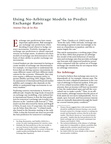# **Using No-Arbitrage Models to Predict Exchange Rates**

*Antonio Diez de los Rios*

xchange rate predictions have many important applications. Risk managers use exchange rate predictions when deciding if (and when) to hedge currency movements. Portfolio managers use exchange rate predictions to obtain expected returns on foreign assets. Academics test their models of exchange rate determination on the basis of their ability to predict exchange rate movements. E rate predictions have many rate.<sup>4</sup> Thus, Clarida et al. (2003) note that<br>important applications. Risk managers *"from the early 1980s onwards, exchange*<br>deciding if (and when) to hedge cur-<br>seen as a hazardous occupatio

Central bankers are also interested in having accurate models of exchange rate determination. For example, it is important to understand the forces that are driving currency movements, because different causes will have different implications for the economy. Ultimately, they may even require a different monetary policy response (Bailliu and King 2005; Ragan 2005). An assessment of international financial market stability and contagion also depends on the ability to understand large movements in currency markets.<sup>1</sup>

Predicting currency movements is, however, a difficult task. Despite the large body of research on exchange rate modelling, a key stylized fact in international finance is that the best prediction for tomorrow's exchange rate is today's rate (known as the "random-walk forecast").<sup>2</sup> This result was first discovered by Meese and Rogoff (1983a, b) and, even 25 years later, few models can do better than this one.<sup>3</sup> A related result, also found in the literature starting in the early 1980s, is that the forward rate does not provide the best prediction for tomorrow's exchange

"from the early 1980s onwards, exchange rate forecasting in general came increasingly to be seen as a hazardous occupation, and this remains largely the case."

This article summarizes a working paper (Diez de los Rios 2006) that proposes an arbitragefree model of the joint behaviour of interest rates and exchange rates that provides exchange rate forecasts with improved predictive power when compared with the current set of foreign exchange rate models that do not impose these no-arbitrage restrictions.

### **No Arbitrage**

It is hard to believe that exchange rates move independently of, for example, interest rates. The reason for such a skeptical statement is the concept of arbitrage in financial markets. If the prices of two related securities differ by a great amount, then an investor will have an incentive to buy the undervalued asset and sell the overvalued one to make a profit.<sup>5</sup> Thus, in an efficient market, arbitrage ensures that the prices of both assets do not move independently. For example, spot, forward, and Eurocurrency interest rates are mutually dependent through the familiar covered interest parity condition.<sup>6</sup>

<sup>1.</sup> See Berg, Borensztein, and Pattillo (2004) for a review on early-warning systems for currency crises.

<sup>2.</sup> Similarly, the best prediction at the one-month or one-year horizon is also today's exchange rate.

<sup>3.</sup> See Bailliu and King (2005) for a review of these successful models (including the Bank of Canada's Exchange Rate Equation).

<sup>4.</sup> Finance theory suggests that a risk-neutral investor should be indifferent between buying a one-month forward contract for a foreign currency or waiting one month and buying the currency directly in the spot market. This theory, known as "uncovered interest rate parity," implies that the best prediction for the future exchange rate is its forward counterpart (see Hansen and Hodrick 1980).

<sup>5.</sup> The technical definition of the absence of arbitrage states that it is impossible to obtain a portfolio that might provide a positive payoff (and never incur losses) without cost (see Cochrane 2001).

<sup>6.</sup> See Mark (2001) for more details on the covered interest parity condition.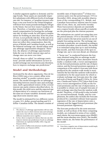A similar argument applies to domestic and foreign bonds. These assets are essentially imperfect substitutes with different levels of exchange rate risk. For instance, a Canadian investor who buys a one-year bond in the United Kingdom will know how many pounds sterling he will get in the future, but not how many Canadian dollars. Therefore, a Canadian investor will demand compensation for bearing the exchange rate risk. In other words, he will expect compensation for holding an asset that, from his point of view, is not perfectly risk free. If the rate of return (in Canadian dollars) of this British bond does not reflect this compensation, then the prices of British and Canadian bonds, as well as the bilateral exchange rate, should adjust until any arbitrage opportunities disappear. Therefore, the absence of arbitrage opportunities links the way in which interest rates and exchange rates can move over time.

Overall, these so-called "no-arbitrage restrictions" provide useful information on how to model exchange rate movements and, therefore, how to improve exchange rate predictions.<sup>8</sup>

### **Model and Methodology**

Motivated by the above arguments, Diez de los Rios (2006) uses a two-country affine termstructure model<sup>9</sup> to predict currency movements. The model leverages the no-arbitrage relationship between interest rates and exchange rates, itself a generalized version of the covered interest rate parity relation described above. In this model, the yield curve and the expected rate of depreciation of a currency are functions of the same set of state variables: domestic and foreign short-term interest rates.

The model is estimated for two different currency pairs: U.S. dollar–pound sterling and U.S. dollar–Canadian dollar. The dataset consists of

monthly rates of depreciation<sup>10</sup> of these two currency pairs over the period January 1976 to December 2004, along with monthly observations of the corresponding U.S., British, and Canadian Eurocurrency interest rates for maturities of one, three, six, and twelve months. These Eurocurrency deposits are essentially zero-coupon bonds whose payoffs at maturity are the principal plus the interest payment.

The estimations are carried out using data over the period January 1976 to December 1997 in order to reserve the last seven years for an out-ofsample forecasting exercise. The exchange rate forecasts, in particular, are computed according to a recursive procedure: at each month *t*, the model is re-estimated using data up to and including that month, and then forecasts of the spot exchange rate, up to one year ahead, are obtained.

A "horse race" is conducted between the forecasts obtained using this no-arbitrage model and those generated by three alternative benchmarks: a random walk, a vector autoregression on the forward premiums and the rate of depreciation, and the forward-premium regression. A comparison of the author's forecasts with those produced by the random-walk model is motivated by the fact that the random-walk model is considered to be the usual metric by which to evaluate exchange rate forecasts since the original work of Meese and Rogoff (1983a, b). However, Clarida and Taylor (1997) show that if one uses a vector autoregression (VAR) on the forward premiums and the rate of depreciation, it is possible to obtain out-of-sample forecasts of spot exchange rates that beat the random-walk model. Therefore, a VAR model is also included as a second benchmark. Finally, and for completeness, the author also includes the forecasts produced by a standard ordinary least-squares regression of the rate of depreciation onto a constant and the lagged forward premium (the forward-premium regression).

The forecasts produced by the term-structure model, as well as those of the three competing models, are evaluated in terms of two widely used criteria: the root-mean-square error (RMSE) and the mean-absolute error (MAE). The smaller these criteria are, the better the performance of the model.

<sup>7.</sup> The absence of arbitrage opportunities will not only restrict the way in which interest rates and exchange rates move, but will also restrict how interest rates at different maturities move together.

In fact, there is empirical evidence that one can also improve interest rate predictions if such no-arbitrage restrictions are exploited (Duffee 2002; Ang and Piazzesi 2003).

<sup>9.</sup> For a review of affine term-structure models and their applications, see Piazzesi (2003).

<sup>10.</sup> Note that a negative rate of depreciation would imply an appreciation in the currency.